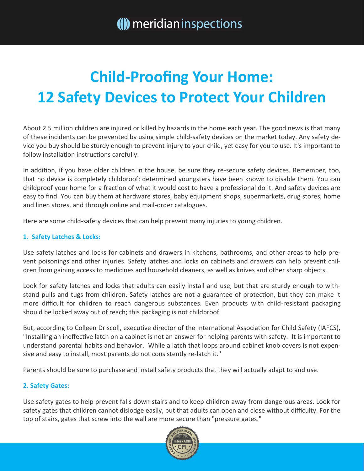# **Child-Proofing Your Home: 12 Safety Devices to Protect Your Children**

About 2.5 million children are injured or killed by hazards in the home each year. The good news is that many of these incidents can be prevented by using simple child-safety devices on the market today. Any safety device you buy should be sturdy enough to prevent injury to your child, yet easy for you to use. It's important to follow installation instructions carefully.

In addition, if you have older children in the house, be sure they re-secure safety devices. Remember, too, that no device is completely childproof; determined youngsters have been known to disable them. You can childproof your home for a fraction of what it would cost to have a professional do it. And safety devices are easy to find. You can buy them at hardware stores, baby equipment shops, supermarkets, drug stores, home and linen stores, and through online and mail-order catalogues.

Here are some child-safety devices that can help prevent many injuries to young children.

### **1. Safety Latches & Locks:**

Use safety latches and locks for cabinets and drawers in kitchens, bathrooms, and other areas to help prevent poisonings and other injuries. Safety latches and locks on cabinets and drawers can help prevent children from gaining access to medicines and household cleaners, as well as knives and other sharp objects.

Look for safety latches and locks that adults can easily install and use, but that are sturdy enough to withstand pulls and tugs from children. Safety latches are not a guarantee of protection, but they can make it more difficult for children to reach dangerous substances. Even products with child-resistant packaging should be locked away out of reach; this packaging is not childproof.

But, according to Colleen Driscoll, executive director of the International Association for Child Safety (IAFCS), "Installing an ineffective latch on a cabinet is not an answer for helping parents with safety. It is important to understand parental habits and behavior. While a latch that loops around cabinet knob covers is not expensive and easy to install, most parents do not consistently re-latch it."

Parents should be sure to purchase and install safety products that they will actually adapt to and use.

### **2. Safety Gates:**

Use safety gates to help prevent falls down stairs and to keep children away from dangerous areas. Look for safety gates that children cannot dislodge easily, but that adults can open and close without difficulty. For the top of stairs, gates that screw into the wall are more secure than "pressure gates."

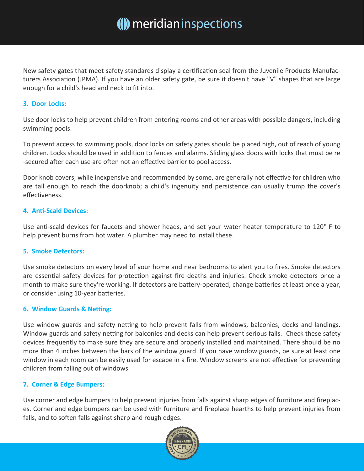New safety gates that meet safety standards display a certification seal from the Juvenile Products Manufacturers Association (JPMA). If you have an older safety gate, be sure it doesn't have "V" shapes that are large enough for a child's head and neck to fit into.

#### **3. Door Locks:**

Use door locks to help prevent children from entering rooms and other areas with possible dangers, including swimming pools.

To prevent access to swimming pools, door locks on safety gates should be placed high, out of reach of young children. Locks should be used in addition to fences and alarms. Sliding glass doors with locks that must be re -secured after each use are often not an effective barrier to pool access.

Door knob covers, while inexpensive and recommended by some, are generally not effective for children who are tall enough to reach the doorknob; a child's ingenuity and persistence can usually trump the cover's effectiveness.

### **4. Anti-Scald Devices:**

Use anti-scald devices for faucets and shower heads, and set your water heater temperature to 120° F to help prevent burns from hot water. A plumber may need to install these.

#### **5. Smoke Detectors:**

Use smoke detectors on every level of your home and near bedrooms to alert you to fires. Smoke detectors are essential safety devices for protection against fire deaths and injuries. Check smoke detectors once a month to make sure they're working. If detectors are battery-operated, change batteries at least once a year, or consider using 10-year batteries.

#### **6. Window Guards & Netting:**

Use window guards and safety netting to help prevent falls from windows, balconies, decks and landings. Window guards and safety netting for balconies and decks can help prevent serious falls. Check these safety devices frequently to make sure they are secure and properly installed and maintained. There should be no more than 4 inches between the bars of the window guard. If you have window guards, be sure at least one window in each room can be easily used for escape in a fire. Window screens are not effective for preventing children from falling out of windows.

### **7. Corner & Edge Bumpers:**

Use corner and edge bumpers to help prevent injuries from falls against sharp edges of furniture and fireplaces. Corner and edge bumpers can be used with furniture and fireplace hearths to help prevent injuries from falls, and to soften falls against sharp and rough edges.

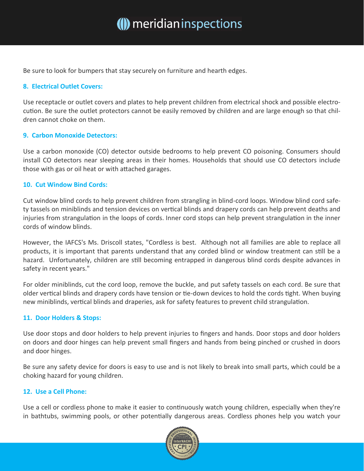Be sure to look for bumpers that stay securely on furniture and hearth edges.

#### **8. Electrical Outlet Covers:**

Use receptacle or outlet covers and plates to help prevent children from electrical shock and possible electrocution. Be sure the outlet protectors cannot be easily removed by children and are large enough so that children cannot choke on them.

#### **9. Carbon Monoxide Detectors:**

Use a carbon monoxide (CO) detector outside bedrooms to help prevent CO poisoning. Consumers should install CO detectors near sleeping areas in their homes. Households that should use CO detectors include those with gas or oil heat or with attached garages.

#### **10. Cut Window Bind Cords:**

Cut window blind cords to help prevent children from strangling in blind-cord loops. Window blind cord safety tassels on miniblinds and tension devices on vertical blinds and drapery cords can help prevent deaths and injuries from strangulation in the loops of cords. Inner cord stops can help prevent strangulation in the inner cords of window blinds.

However, the IAFCS's Ms. Driscoll states, "Cordless is best. Although not all families are able to replace all products, it is important that parents understand that any corded blind or window treatment can still be a hazard. Unfortunately, children are still becoming entrapped in dangerous blind cords despite advances in safety in recent years."

For older miniblinds, cut the cord loop, remove the buckle, and put safety tassels on each cord. Be sure that older vertical blinds and drapery cords have tension or tie-down devices to hold the cords tight. When buying new miniblinds, vertical blinds and draperies, ask for safety features to prevent child strangulation.

#### **11. Door Holders & Stops:**

Use door stops and door holders to help prevent injuries to fingers and hands. Door stops and door holders on doors and door hinges can help prevent small fingers and hands from being pinched or crushed in doors and door hinges.

Be sure any safety device for doors is easy to use and is not likely to break into small parts, which could be a choking hazard for young children.

#### **12. Use a Cell Phone:**

Use a cell or cordless phone to make it easier to continuously watch young children, especially when they're in bathtubs, swimming pools, or other potentially dangerous areas. Cordless phones help you watch your